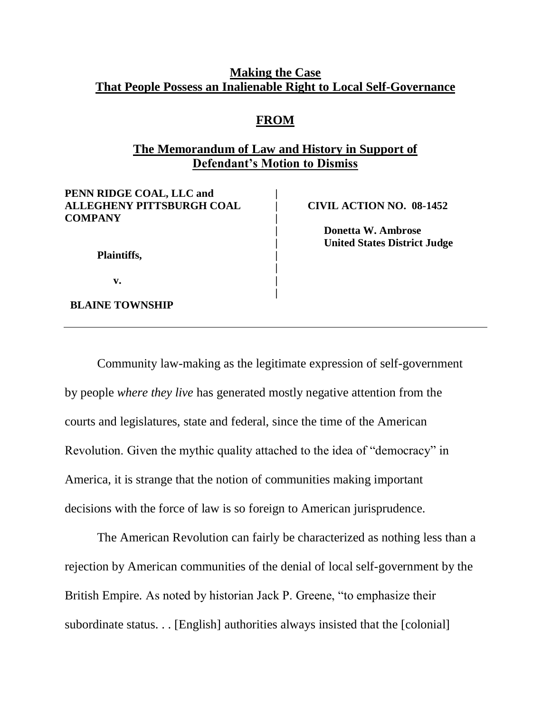#### **Making the Case That People Possess an Inalienable Right to Local Self-Governance**

#### **FROM**

# **The Memorandum of Law and History in Support of Defendant's Motion to Dismiss**

**|**

**|**

**PENN RIDGE COAL, LLC and | ALLEGHENY PITTSBURGH COAL | CIVIL ACTION NO. 08-1452 COMPANY |**

**| Donetta W. Ambrose | United States District Judge**

**Plaintiffs, |**

 **v. |**

 **BLAINE TOWNSHIP**

Community law-making as the legitimate expression of self-government by people *where they live* has generated mostly negative attention from the courts and legislatures, state and federal, since the time of the American Revolution. Given the mythic quality attached to the idea of "democracy" in America, it is strange that the notion of communities making important decisions with the force of law is so foreign to American jurisprudence.

The American Revolution can fairly be characterized as nothing less than a rejection by American communities of the denial of local self-government by the British Empire. As noted by historian Jack P. Greene, "to emphasize their subordinate status. . . [English] authorities always insisted that the [colonial]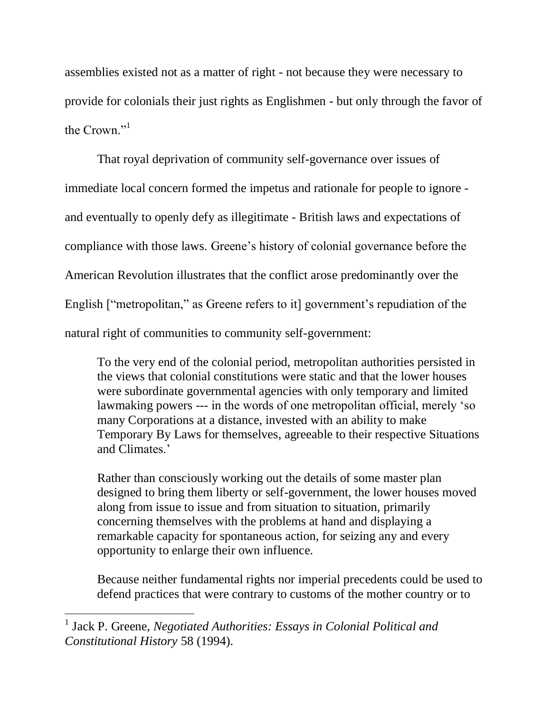assemblies existed not as a matter of right - not because they were necessary to provide for colonials their just rights as Englishmen - but only through the favor of the Crown."<sup>1</sup>

That royal deprivation of community self-governance over issues of immediate local concern formed the impetus and rationale for people to ignore and eventually to openly defy as illegitimate - British laws and expectations of compliance with those laws. Greene's history of colonial governance before the American Revolution illustrates that the conflict arose predominantly over the English ["metropolitan," as Greene refers to it] government's repudiation of the natural right of communities to community self-government:

To the very end of the colonial period, metropolitan authorities persisted in the views that colonial constitutions were static and that the lower houses were subordinate governmental agencies with only temporary and limited lawmaking powers --- in the words of one metropolitan official, merely 'so many Corporations at a distance, invested with an ability to make Temporary By Laws for themselves, agreeable to their respective Situations and Climates.'

Rather than consciously working out the details of some master plan designed to bring them liberty or self-government, the lower houses moved along from issue to issue and from situation to situation, primarily concerning themselves with the problems at hand and displaying a remarkable capacity for spontaneous action, for seizing any and every opportunity to enlarge their own influence.

Because neither fundamental rights nor imperial precedents could be used to defend practices that were contrary to customs of the mother country or to

<sup>&</sup>lt;sup>1</sup> Jack P. Greene, *Negotiated Authorities: Essays in Colonial Political and Constitutional History* 58 (1994).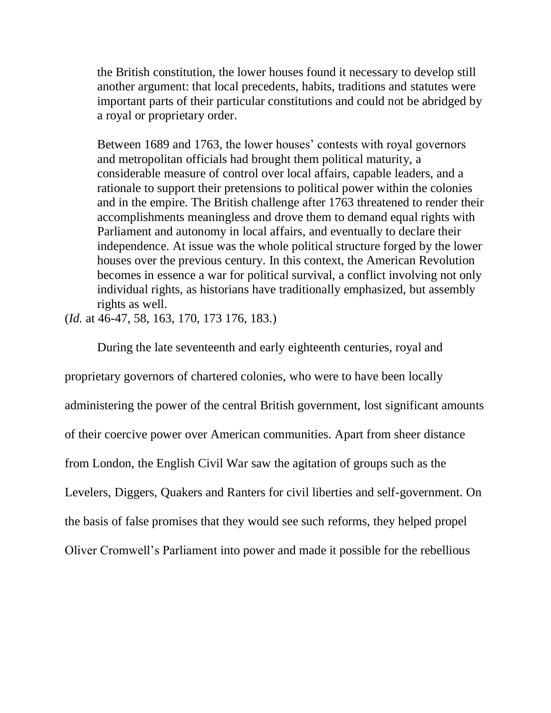the British constitution, the lower houses found it necessary to develop still another argument: that local precedents, habits, traditions and statutes were important parts of their particular constitutions and could not be abridged by a royal or proprietary order.

Between 1689 and 1763, the lower houses' contests with royal governors and metropolitan officials had brought them political maturity, a considerable measure of control over local affairs, capable leaders, and a rationale to support their pretensions to political power within the colonies and in the empire. The British challenge after 1763 threatened to render their accomplishments meaningless and drove them to demand equal rights with Parliament and autonomy in local affairs, and eventually to declare their independence. At issue was the whole political structure forged by the lower houses over the previous century. In this context, the American Revolution becomes in essence a war for political survival, a conflict involving not only individual rights, as historians have traditionally emphasized, but assembly rights as well.

(*Id.* at 46-47, 58, 163, 170, 173 176, 183.)

During the late seventeenth and early eighteenth centuries, royal and proprietary governors of chartered colonies, who were to have been locally administering the power of the central British government, lost significant amounts of their coercive power over American communities. Apart from sheer distance from London, the English Civil War saw the agitation of groups such as the Levelers, Diggers, Quakers and Ranters for civil liberties and self-government. On the basis of false promises that they would see such reforms, they helped propel Oliver Cromwell's Parliament into power and made it possible for the rebellious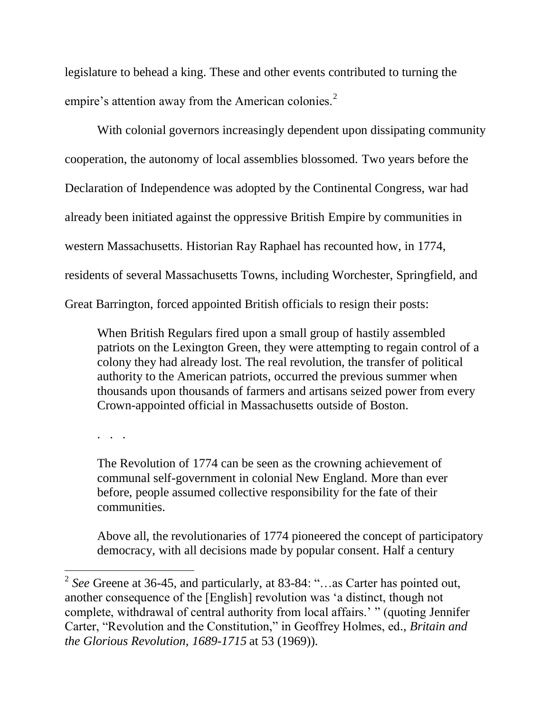legislature to behead a king. These and other events contributed to turning the empire's attention away from the American colonies.<sup>2</sup>

With colonial governors increasingly dependent upon dissipating community cooperation, the autonomy of local assemblies blossomed. Two years before the Declaration of Independence was adopted by the Continental Congress, war had already been initiated against the oppressive British Empire by communities in western Massachusetts. Historian Ray Raphael has recounted how, in 1774, residents of several Massachusetts Towns, including Worchester, Springfield, and Great Barrington, forced appointed British officials to resign their posts:

When British Regulars fired upon a small group of hastily assembled patriots on the Lexington Green, they were attempting to regain control of a colony they had already lost. The real revolution, the transfer of political authority to the American patriots, occurred the previous summer when thousands upon thousands of farmers and artisans seized power from every Crown-appointed official in Massachusetts outside of Boston.

. . .

 $\overline{a}$ 

The Revolution of 1774 can be seen as the crowning achievement of communal self-government in colonial New England. More than ever before, people assumed collective responsibility for the fate of their communities.

Above all, the revolutionaries of 1774 pioneered the concept of participatory democracy, with all decisions made by popular consent. Half a century

<sup>&</sup>lt;sup>2</sup> See Greene at 36-45, and particularly, at 83-84: "...as Carter has pointed out, another consequence of the [English] revolution was ‗a distinct, though not complete, withdrawal of central authority from local affairs.' " (quoting Jennifer Carter, "Revolution and the Constitution," in Geoffrey Holmes, ed., *Britain and the Glorious Revolution, 1689-1715* at 53 (1969)).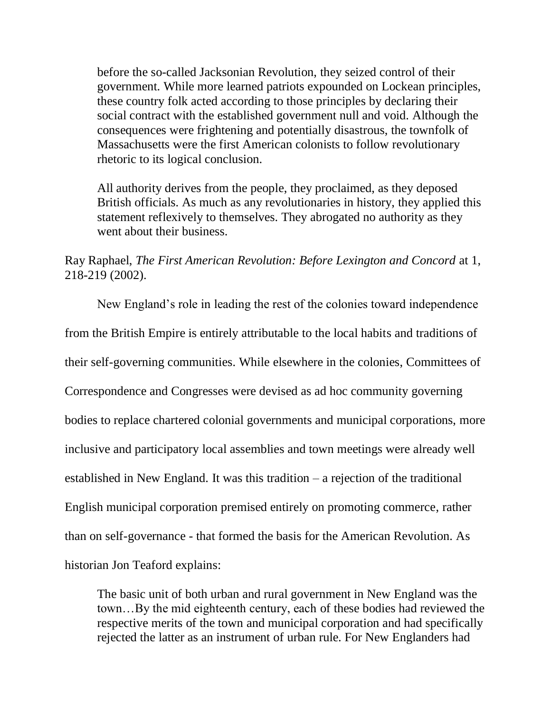before the so-called Jacksonian Revolution, they seized control of their government. While more learned patriots expounded on Lockean principles, these country folk acted according to those principles by declaring their social contract with the established government null and void. Although the consequences were frightening and potentially disastrous, the townfolk of Massachusetts were the first American colonists to follow revolutionary rhetoric to its logical conclusion.

All authority derives from the people, they proclaimed, as they deposed British officials. As much as any revolutionaries in history, they applied this statement reflexively to themselves. They abrogated no authority as they went about their business.

# Ray Raphael, *The First American Revolution: Before Lexington and Concord* at 1, 218-219 (2002).

New England's role in leading the rest of the colonies toward independence from the British Empire is entirely attributable to the local habits and traditions of their self-governing communities. While elsewhere in the colonies, Committees of Correspondence and Congresses were devised as ad hoc community governing bodies to replace chartered colonial governments and municipal corporations, more inclusive and participatory local assemblies and town meetings were already well established in New England. It was this tradition – a rejection of the traditional English municipal corporation premised entirely on promoting commerce, rather than on self-governance - that formed the basis for the American Revolution. As historian Jon Teaford explains:

The basic unit of both urban and rural government in New England was the town…By the mid eighteenth century, each of these bodies had reviewed the respective merits of the town and municipal corporation and had specifically rejected the latter as an instrument of urban rule. For New Englanders had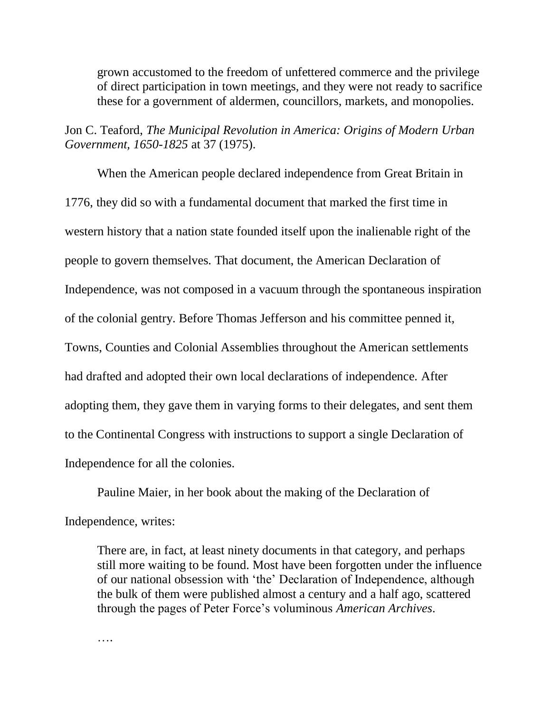grown accustomed to the freedom of unfettered commerce and the privilege of direct participation in town meetings, and they were not ready to sacrifice these for a government of aldermen, councillors, markets, and monopolies.

Jon C. Teaford, *The Municipal Revolution in America: Origins of Modern Urban Government, 1650-1825* at 37 (1975).

When the American people declared independence from Great Britain in 1776, they did so with a fundamental document that marked the first time in western history that a nation state founded itself upon the inalienable right of the people to govern themselves. That document, the American Declaration of Independence, was not composed in a vacuum through the spontaneous inspiration of the colonial gentry. Before Thomas Jefferson and his committee penned it, Towns, Counties and Colonial Assemblies throughout the American settlements had drafted and adopted their own local declarations of independence. After adopting them, they gave them in varying forms to their delegates, and sent them to the Continental Congress with instructions to support a single Declaration of Independence for all the colonies.

Pauline Maier, in her book about the making of the Declaration of Independence, writes:

There are, in fact, at least ninety documents in that category, and perhaps still more waiting to be found. Most have been forgotten under the influence of our national obsession with ‗the' Declaration of Independence, although the bulk of them were published almost a century and a half ago, scattered through the pages of Peter Force's voluminous *American Archives*.

….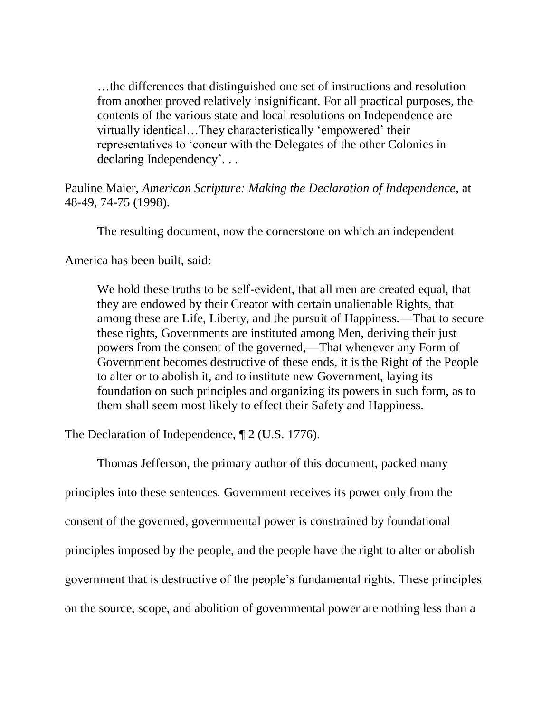…the differences that distinguished one set of instructions and resolution from another proved relatively insignificant. For all practical purposes, the contents of the various state and local resolutions on Independence are virtually identical...They characteristically 'empowered' their representatives to 'concur with the Delegates of the other Colonies in declaring Independency'. . .

Pauline Maier, *American Scripture: Making the Declaration of Independence*, at 48-49, 74-75 (1998).

The resulting document, now the cornerstone on which an independent

America has been built, said:

We hold these truths to be self-evident, that all men are created equal, that they are endowed by their Creator with certain unalienable Rights, that among these are Life, Liberty, and the pursuit of Happiness.—That to secure these rights, Governments are instituted among Men, deriving their just powers from the consent of the governed,—That whenever any Form of Government becomes destructive of these ends, it is the Right of the People to alter or to abolish it, and to institute new Government, laying its foundation on such principles and organizing its powers in such form, as to them shall seem most likely to effect their Safety and Happiness.

The Declaration of Independence, ¶ 2 (U.S. 1776).

Thomas Jefferson, the primary author of this document, packed many principles into these sentences. Government receives its power only from the consent of the governed, governmental power is constrained by foundational principles imposed by the people, and the people have the right to alter or abolish government that is destructive of the people's fundamental rights. These principles on the source, scope, and abolition of governmental power are nothing less than a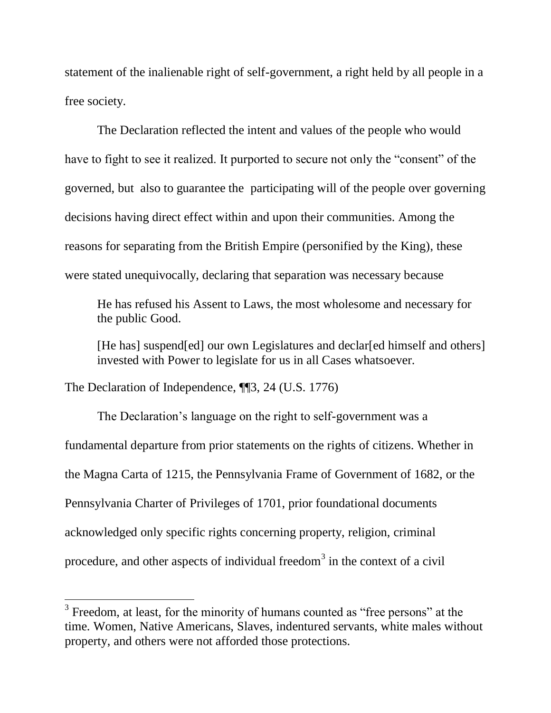statement of the inalienable right of self-government, a right held by all people in a free society.

The Declaration reflected the intent and values of the people who would have to fight to see it realized. It purported to secure not only the "consent" of the governed, but also to guarantee the participating will of the people over governing decisions having direct effect within and upon their communities. Among the reasons for separating from the British Empire (personified by the King), these were stated unequivocally, declaring that separation was necessary because

He has refused his Assent to Laws, the most wholesome and necessary for the public Good.

[He has] suspend [ed] our own Legislatures and declar [ed himself and others] invested with Power to legislate for us in all Cases whatsoever.

The Declaration of Independence, ¶¶3, 24 (U.S. 1776)

 $\overline{a}$ 

The Declaration's language on the right to self-government was a fundamental departure from prior statements on the rights of citizens. Whether in the Magna Carta of 1215, the Pennsylvania Frame of Government of 1682, or the Pennsylvania Charter of Privileges of 1701, prior foundational documents acknowledged only specific rights concerning property, religion, criminal procedure, and other aspects of individual freedom<sup>3</sup> in the context of a civil

 $3$  Freedom, at least, for the minority of humans counted as "free persons" at the time. Women, Native Americans, Slaves, indentured servants, white males without property, and others were not afforded those protections.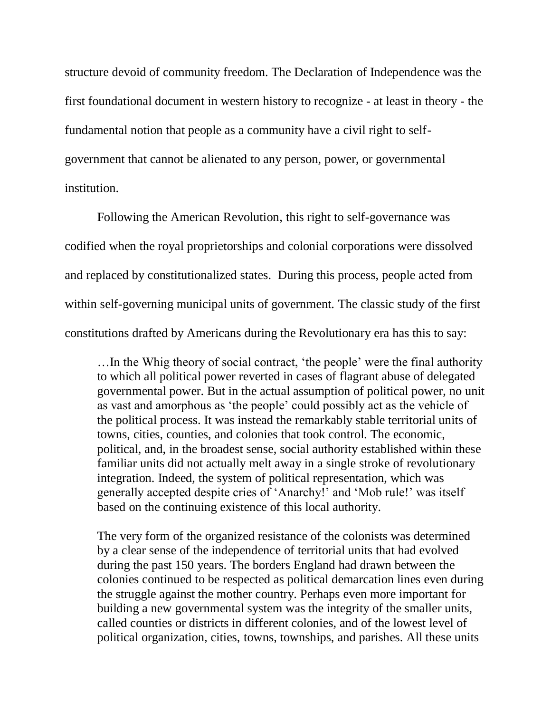structure devoid of community freedom. The Declaration of Independence was the first foundational document in western history to recognize - at least in theory - the fundamental notion that people as a community have a civil right to selfgovernment that cannot be alienated to any person, power, or governmental institution.

Following the American Revolution, this right to self-governance was codified when the royal proprietorships and colonial corporations were dissolved and replaced by constitutionalized states. During this process, people acted from within self-governing municipal units of government. The classic study of the first constitutions drafted by Americans during the Revolutionary era has this to say:

... In the Whig theory of social contract, 'the people' were the final authority to which all political power reverted in cases of flagrant abuse of delegated governmental power. But in the actual assumption of political power, no unit as vast and amorphous as 'the people' could possibly act as the vehicle of the political process. It was instead the remarkably stable territorial units of towns, cities, counties, and colonies that took control. The economic, political, and, in the broadest sense, social authority established within these familiar units did not actually melt away in a single stroke of revolutionary integration. Indeed, the system of political representation, which was generally accepted despite cries of ‗Anarchy!' and ‗Mob rule!' was itself based on the continuing existence of this local authority.

The very form of the organized resistance of the colonists was determined by a clear sense of the independence of territorial units that had evolved during the past 150 years. The borders England had drawn between the colonies continued to be respected as political demarcation lines even during the struggle against the mother country. Perhaps even more important for building a new governmental system was the integrity of the smaller units, called counties or districts in different colonies, and of the lowest level of political organization, cities, towns, townships, and parishes. All these units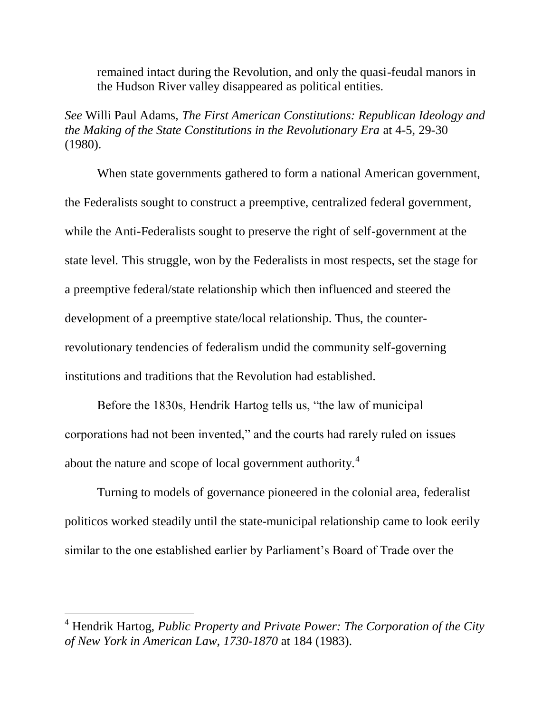remained intact during the Revolution, and only the quasi-feudal manors in the Hudson River valley disappeared as political entities.

*See* Willi Paul Adams, *The First American Constitutions: Republican Ideology and the Making of the State Constitutions in the Revolutionary Era* at 4-5, 29-30 (1980).

When state governments gathered to form a national American government, the Federalists sought to construct a preemptive, centralized federal government, while the Anti-Federalists sought to preserve the right of self-government at the state level. This struggle, won by the Federalists in most respects, set the stage for a preemptive federal/state relationship which then influenced and steered the development of a preemptive state/local relationship. Thus, the counterrevolutionary tendencies of federalism undid the community self-governing institutions and traditions that the Revolution had established.

Before the 1830s, Hendrik Hartog tells us, "the law of municipal corporations had not been invented," and the courts had rarely ruled on issues about the nature and scope of local government authority.<sup>4</sup>

Turning to models of governance pioneered in the colonial area, federalist politicos worked steadily until the state-municipal relationship came to look eerily similar to the one established earlier by Parliament's Board of Trade over the

<sup>4</sup> Hendrik Hartog, *Public Property and Private Power: The Corporation of the City of New York in American Law, 1730-1870* at 184 (1983).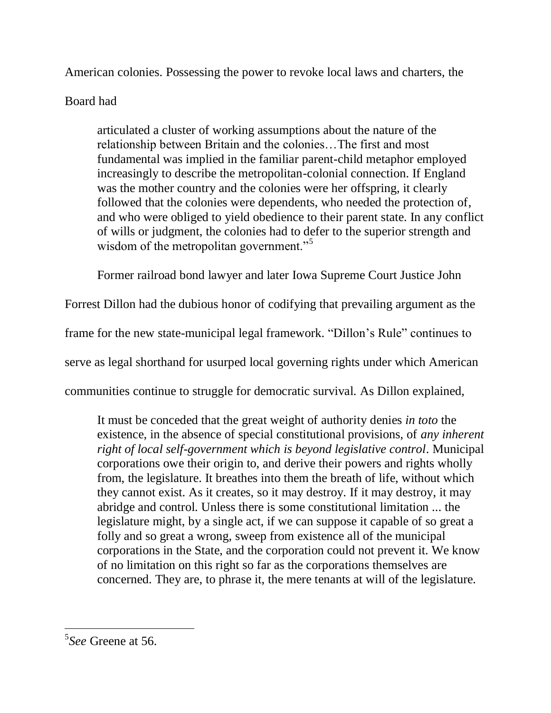American colonies. Possessing the power to revoke local laws and charters, the

# Board had

articulated a cluster of working assumptions about the nature of the relationship between Britain and the colonies…The first and most fundamental was implied in the familiar parent-child metaphor employed increasingly to describe the metropolitan-colonial connection. If England was the mother country and the colonies were her offspring, it clearly followed that the colonies were dependents, who needed the protection of, and who were obliged to yield obedience to their parent state. In any conflict of wills or judgment, the colonies had to defer to the superior strength and wisdom of the metropolitan government."<sup>5</sup>

Former railroad bond lawyer and later Iowa Supreme Court Justice John

Forrest Dillon had the dubious honor of codifying that prevailing argument as the

frame for the new state-municipal legal framework. "Dillon's Rule" continues to

serve as legal shorthand for usurped local governing rights under which American

communities continue to struggle for democratic survival. As Dillon explained,

It must be conceded that the great weight of authority denies *in toto* the existence, in the absence of special constitutional provisions, of *any inherent right of local self-government which is beyond legislative control*. Municipal corporations owe their origin to, and derive their powers and rights wholly from, the legislature. It breathes into them the breath of life, without which they cannot exist. As it creates, so it may destroy. If it may destroy, it may abridge and control. Unless there is some constitutional limitation ... the legislature might, by a single act, if we can suppose it capable of so great a folly and so great a wrong, sweep from existence all of the municipal corporations in the State, and the corporation could not prevent it. We know of no limitation on this right so far as the corporations themselves are concerned. They are, to phrase it, the mere tenants at will of the legislature.

<sup>5</sup> *See* Greene at 56.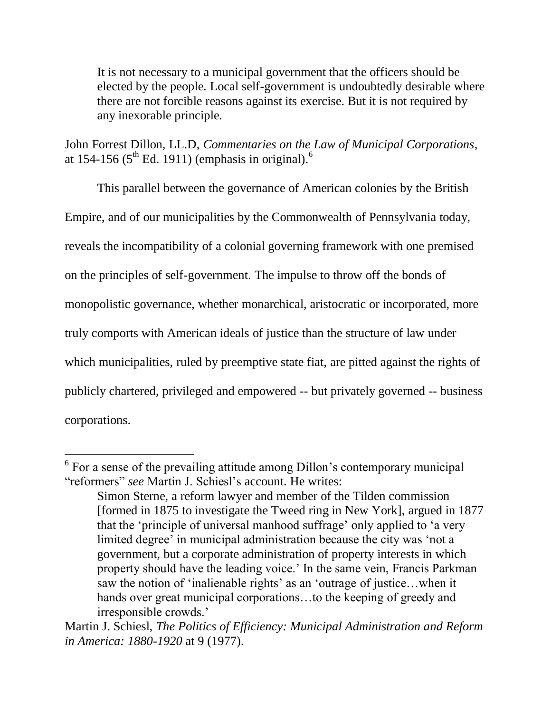It is not necessary to a municipal government that the officers should be elected by the people. Local self-government is undoubtedly desirable where there are not forcible reasons against its exercise. But it is not required by any inexorable principle.

John Forrest Dillon, LL.D, *Commentaries on the Law of Municipal Corporations*, at 154-156 ( $5<sup>th</sup>$  Ed. 1911) (emphasis in original).<sup>6</sup>

This parallel between the governance of American colonies by the British Empire, and of our municipalities by the Commonwealth of Pennsylvania today, reveals the incompatibility of a colonial governing framework with one premised on the principles of self-government. The impulse to throw off the bonds of monopolistic governance, whether monarchical, aristocratic or incorporated, more truly comports with American ideals of justice than the structure of law under which municipalities, ruled by preemptive state fiat, are pitted against the rights of publicly chartered, privileged and empowered -- but privately governed -- business corporations.

<sup>&</sup>lt;sup>6</sup> For a sense of the prevailing attitude among Dillon's contemporary municipal "reformers" *see* Martin J. Schiesl's account. He writes:

Simon Sterne, a reform lawyer and member of the Tilden commission [formed in 1875 to investigate the Tweed ring in New York], argued in 1877 that the 'principle of universal manhood suffrage' only applied to 'a very limited degree' in municipal administration because the city was 'not a government, but a corporate administration of property interests in which property should have the leading voice.' In the same vein, Francis Parkman saw the notion of 'inalienable rights' as an 'outrage of justice...when it hands over great municipal corporations...to the keeping of greedy and irresponsible crowds.'

Martin J. Schiesl, *The Politics of Efficiency: Municipal Administration and Reform in America: 1880-1920* at 9 (1977).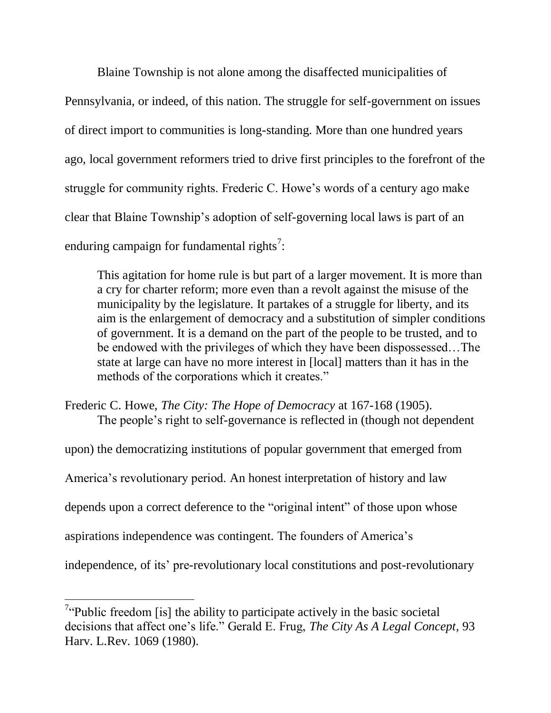Blaine Township is not alone among the disaffected municipalities of Pennsylvania, or indeed, of this nation. The struggle for self-government on issues of direct import to communities is long-standing. More than one hundred years ago, local government reformers tried to drive first principles to the forefront of the struggle for community rights. Frederic C. Howe's words of a century ago make clear that Blaine Township's adoption of self-governing local laws is part of an enduring campaign for fundamental rights<sup>7</sup>:

This agitation for home rule is but part of a larger movement. It is more than a cry for charter reform; more even than a revolt against the misuse of the municipality by the legislature. It partakes of a struggle for liberty, and its aim is the enlargement of democracy and a substitution of simpler conditions of government. It is a demand on the part of the people to be trusted, and to be endowed with the privileges of which they have been dispossessed…The state at large can have no more interest in [local] matters than it has in the methods of the corporations which it creates."

Frederic C. Howe, *The City: The Hope of Democracy* at 167-168 (1905). The people's right to self-governance is reflected in (though not dependent

upon) the democratizing institutions of popular government that emerged from America's revolutionary period. An honest interpretation of history and law depends upon a correct deference to the "original intent" of those upon whose aspirations independence was contingent. The founders of America's independence, of its' pre-revolutionary local constitutions and post-revolutionary

<sup>&</sup>lt;sup>7</sup>"Public freedom [is] the ability to participate actively in the basic societal decisions that affect one's life." Gerald E. Frug, *The City As A Legal Concept*, 93 Harv. L.Rev. 1069 (1980).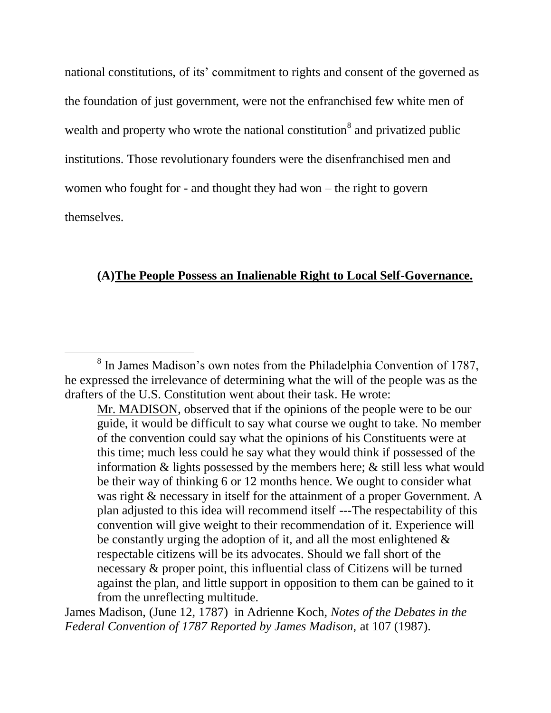national constitutions, of its' commitment to rights and consent of the governed as the foundation of just government, were not the enfranchised few white men of wealth and property who wrote the national constitution<sup>8</sup> and privatized public institutions. Those revolutionary founders were the disenfranchised men and women who fought for - and thought they had won – the right to govern themselves.

### **(A)The People Possess an Inalienable Right to Local Self-Governance.**

 $\overline{a}$ 

James Madison, (June 12, 1787) in Adrienne Koch, *Notes of the Debates in the Federal Convention of 1787 Reported by James Madison,* at 107 (1987).

<sup>&</sup>lt;sup>8</sup> In James Madison's own notes from the Philadelphia Convention of 1787, he expressed the irrelevance of determining what the will of the people was as the drafters of the U.S. Constitution went about their task. He wrote:

Mr. MADISON, observed that if the opinions of the people were to be our guide, it would be difficult to say what course we ought to take. No member of the convention could say what the opinions of his Constituents were at this time; much less could he say what they would think if possessed of the information & lights possessed by the members here; & still less what would be their way of thinking 6 or 12 months hence. We ought to consider what was right & necessary in itself for the attainment of a proper Government. A plan adjusted to this idea will recommend itself ---The respectability of this convention will give weight to their recommendation of it. Experience will be constantly urging the adoption of it, and all the most enlightened  $\&$ respectable citizens will be its advocates. Should we fall short of the necessary & proper point, this influential class of Citizens will be turned against the plan, and little support in opposition to them can be gained to it from the unreflecting multitude.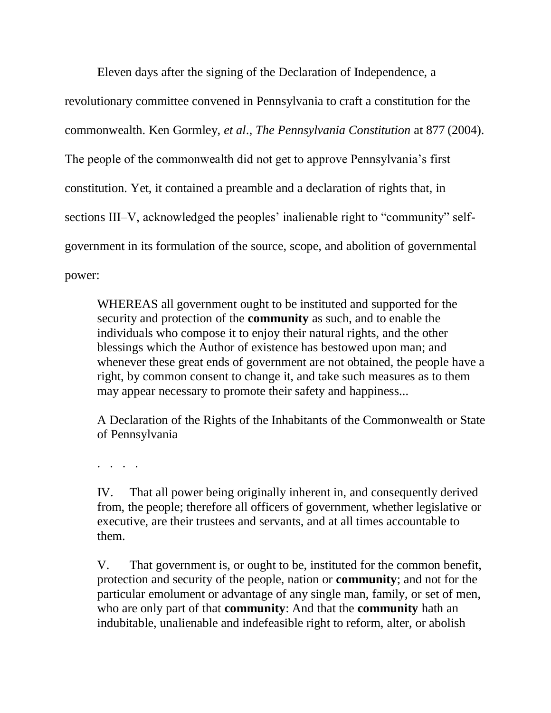Eleven days after the signing of the Declaration of Independence, a

revolutionary committee convened in Pennsylvania to craft a constitution for the commonwealth. Ken Gormley, *et al*., *The Pennsylvania Constitution* at 877 (2004). The people of the commonwealth did not get to approve Pennsylvania's first constitution. Yet, it contained a preamble and a declaration of rights that, in sections III–V, acknowledged the peoples' inalienable right to "community" selfgovernment in its formulation of the source, scope, and abolition of governmental power:

WHEREAS all government ought to be instituted and supported for the security and protection of the **community** as such, and to enable the individuals who compose it to enjoy their natural rights, and the other blessings which the Author of existence has bestowed upon man; and whenever these great ends of government are not obtained, the people have a right, by common consent to change it, and take such measures as to them may appear necessary to promote their safety and happiness...

A Declaration of the Rights of the Inhabitants of the Commonwealth or State of Pennsylvania

. . . .

IV. That all power being originally inherent in, and consequently derived from, the people; therefore all officers of government, whether legislative or executive, are their trustees and servants, and at all times accountable to them.

V. That government is, or ought to be, instituted for the common benefit, protection and security of the people, nation or **community**; and not for the particular emolument or advantage of any single man, family, or set of men, who are only part of that **community**: And that the **community** hath an indubitable, unalienable and indefeasible right to reform, alter, or abolish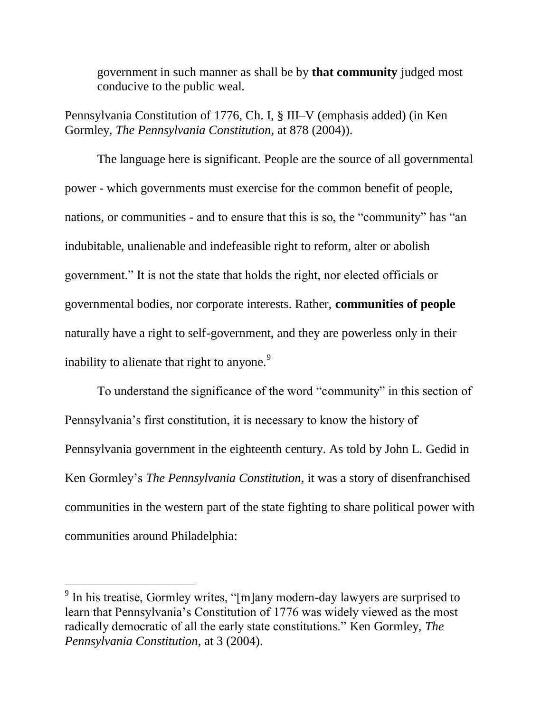government in such manner as shall be by **that community** judged most conducive to the public weal.

Pennsylvania Constitution of 1776, Ch. I, § III–V (emphasis added) (in Ken Gormley, *The Pennsylvania Constitution*, at 878 (2004)).

The language here is significant. People are the source of all governmental power - which governments must exercise for the common benefit of people, nations, or communities - and to ensure that this is so, the "community" has "an indubitable, unalienable and indefeasible right to reform, alter or abolish government.‖ It is not the state that holds the right, nor elected officials or governmental bodies, nor corporate interests. Rather, **communities of people** naturally have a right to self-government, and they are powerless only in their inability to alienate that right to anyone.<sup>9</sup>

To understand the significance of the word "community" in this section of Pennsylvania's first constitution, it is necessary to know the history of Pennsylvania government in the eighteenth century. As told by John L. Gedid in Ken Gormley's *The Pennsylvania Constitution*, it was a story of disenfranchised communities in the western part of the state fighting to share political power with communities around Philadelphia:

 $9$  In his treatise, Gormley writes, "[m]any modern-day lawyers are surprised to learn that Pennsylvania's Constitution of 1776 was widely viewed as the most radically democratic of all the early state constitutions." Ken Gormley, *The Pennsylvania Constitution*, at 3 (2004).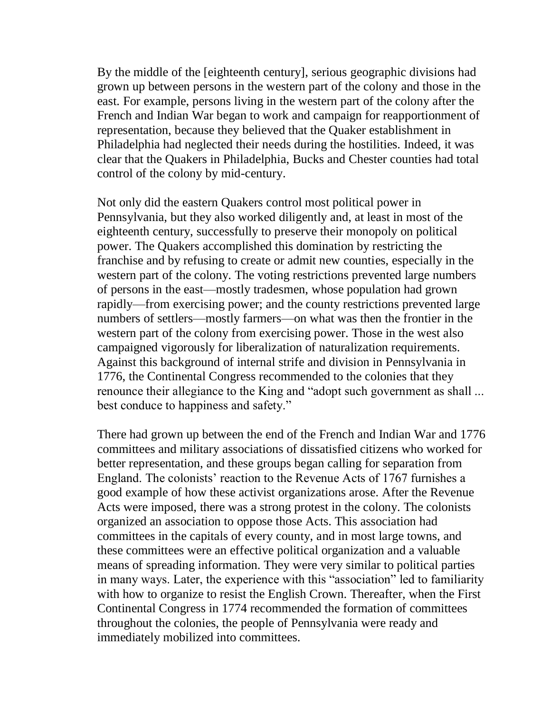By the middle of the [eighteenth century], serious geographic divisions had grown up between persons in the western part of the colony and those in the east. For example, persons living in the western part of the colony after the French and Indian War began to work and campaign for reapportionment of representation, because they believed that the Quaker establishment in Philadelphia had neglected their needs during the hostilities. Indeed, it was clear that the Quakers in Philadelphia, Bucks and Chester counties had total control of the colony by mid-century.

Not only did the eastern Quakers control most political power in Pennsylvania, but they also worked diligently and, at least in most of the eighteenth century, successfully to preserve their monopoly on political power. The Quakers accomplished this domination by restricting the franchise and by refusing to create or admit new counties, especially in the western part of the colony. The voting restrictions prevented large numbers of persons in the east—mostly tradesmen, whose population had grown rapidly—from exercising power; and the county restrictions prevented large numbers of settlers—mostly farmers—on what was then the frontier in the western part of the colony from exercising power. Those in the west also campaigned vigorously for liberalization of naturalization requirements. Against this background of internal strife and division in Pennsylvania in 1776, the Continental Congress recommended to the colonies that they renounce their allegiance to the King and "adopt such government as shall ... best conduce to happiness and safety."

There had grown up between the end of the French and Indian War and 1776 committees and military associations of dissatisfied citizens who worked for better representation, and these groups began calling for separation from England. The colonists' reaction to the Revenue Acts of 1767 furnishes a good example of how these activist organizations arose. After the Revenue Acts were imposed, there was a strong protest in the colony. The colonists organized an association to oppose those Acts. This association had committees in the capitals of every county, and in most large towns, and these committees were an effective political organization and a valuable means of spreading information. They were very similar to political parties in many ways. Later, the experience with this "association" led to familiarity with how to organize to resist the English Crown. Thereafter, when the First Continental Congress in 1774 recommended the formation of committees throughout the colonies, the people of Pennsylvania were ready and immediately mobilized into committees.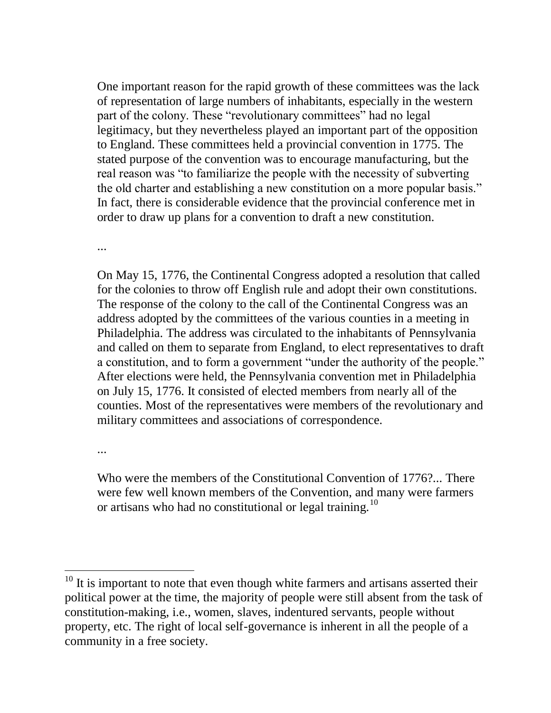One important reason for the rapid growth of these committees was the lack of representation of large numbers of inhabitants, especially in the western part of the colony. These "revolutionary committees" had no legal legitimacy, but they nevertheless played an important part of the opposition to England. These committees held a provincial convention in 1775. The stated purpose of the convention was to encourage manufacturing, but the real reason was "to familiarize the people with the necessity of subverting the old charter and establishing a new constitution on a more popular basis." In fact, there is considerable evidence that the provincial conference met in order to draw up plans for a convention to draft a new constitution.

...

On May 15, 1776, the Continental Congress adopted a resolution that called for the colonies to throw off English rule and adopt their own constitutions. The response of the colony to the call of the Continental Congress was an address adopted by the committees of the various counties in a meeting in Philadelphia. The address was circulated to the inhabitants of Pennsylvania and called on them to separate from England, to elect representatives to draft a constitution, and to form a government "under the authority of the people." After elections were held, the Pennsylvania convention met in Philadelphia on July 15, 1776. It consisted of elected members from nearly all of the counties. Most of the representatives were members of the revolutionary and military committees and associations of correspondence.

...

 $\overline{a}$ 

Who were the members of the Constitutional Convention of 1776?... There were few well known members of the Convention, and many were farmers or artisans who had no constitutional or legal training.<sup>10</sup>

 $10$  It is important to note that even though white farmers and artisans asserted their political power at the time, the majority of people were still absent from the task of constitution-making, i.e., women, slaves, indentured servants, people without property, etc. The right of local self-governance is inherent in all the people of a community in a free society.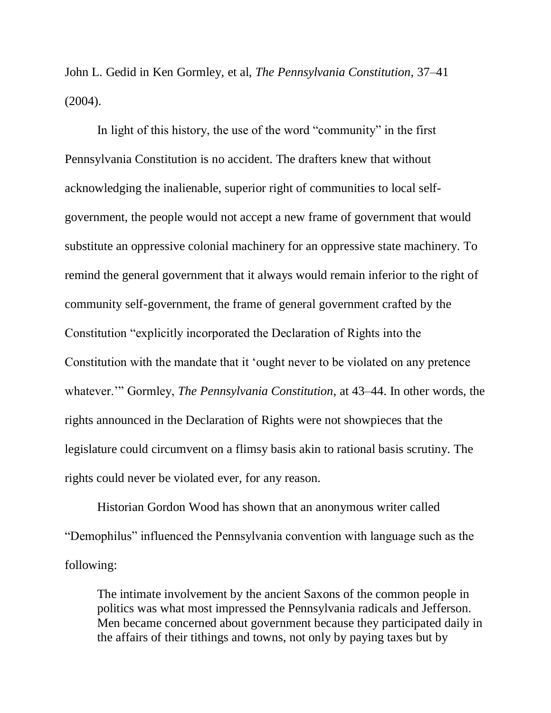John L. Gedid in Ken Gormley, et al, *The Pennsylvania Constitution*, 37–41 (2004).

In light of this history, the use of the word "community" in the first Pennsylvania Constitution is no accident. The drafters knew that without acknowledging the inalienable, superior right of communities to local selfgovernment, the people would not accept a new frame of government that would substitute an oppressive colonial machinery for an oppressive state machinery. To remind the general government that it always would remain inferior to the right of community self-government, the frame of general government crafted by the Constitution "explicitly incorporated the Declaration of Rights into the Constitution with the mandate that it 'ought never to be violated on any pretence whatever.'" Gormley, *The Pennsylvania Constitution*, at 43–44. In other words, the rights announced in the Declaration of Rights were not showpieces that the legislature could circumvent on a flimsy basis akin to rational basis scrutiny. The rights could never be violated ever, for any reason.

Historian Gordon Wood has shown that an anonymous writer called ―Demophilus‖ influenced the Pennsylvania convention with language such as the following:

The intimate involvement by the ancient Saxons of the common people in politics was what most impressed the Pennsylvania radicals and Jefferson. Men became concerned about government because they participated daily in the affairs of their tithings and towns, not only by paying taxes but by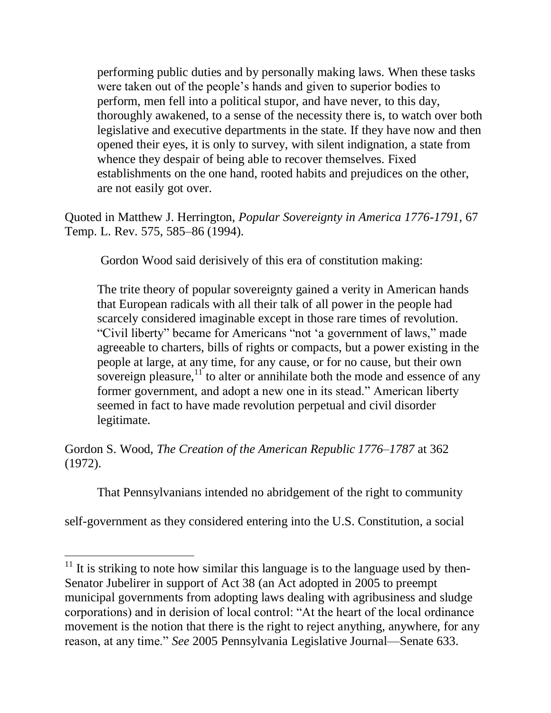performing public duties and by personally making laws. When these tasks were taken out of the people's hands and given to superior bodies to perform, men fell into a political stupor, and have never, to this day, thoroughly awakened, to a sense of the necessity there is, to watch over both legislative and executive departments in the state. If they have now and then opened their eyes, it is only to survey, with silent indignation, a state from whence they despair of being able to recover themselves. Fixed establishments on the one hand, rooted habits and prejudices on the other, are not easily got over.

Quoted in Matthew J. Herrington, *Popular Sovereignty in America 1776-1791*, 67 Temp. L. Rev. 575, 585–86 (1994).

Gordon Wood said derisively of this era of constitution making:

The trite theory of popular sovereignty gained a verity in American hands that European radicals with all their talk of all power in the people had scarcely considered imaginable except in those rare times of revolution. "Civil liberty" became for Americans "not 'a government of laws," made agreeable to charters, bills of rights or compacts, but a power existing in the people at large, at any time, for any cause, or for no cause, but their own sovereign pleasure, $11$  to alter or annihilate both the mode and essence of any former government, and adopt a new one in its stead." American liberty seemed in fact to have made revolution perpetual and civil disorder legitimate.

Gordon S. Wood, *The Creation of the American Republic 1776–1787* at 362 (1972).

That Pennsylvanians intended no abridgement of the right to community

self-government as they considered entering into the U.S. Constitution, a social

 $11$  It is striking to note how similar this language is to the language used by then-Senator Jubelirer in support of Act 38 (an Act adopted in 2005 to preempt municipal governments from adopting laws dealing with agribusiness and sludge corporations) and in derision of local control: "At the heart of the local ordinance movement is the notion that there is the right to reject anything, anywhere, for any reason, at any time." *See* 2005 Pennsylvania Legislative Journal—Senate 633.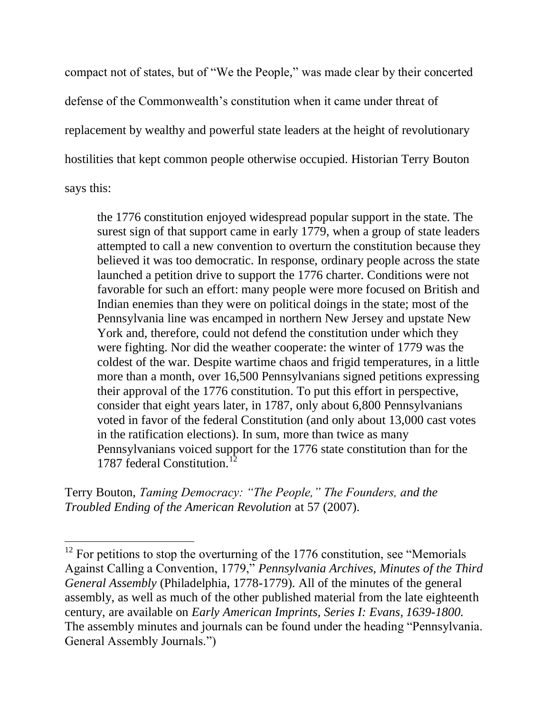compact not of states, but of "We the People," was made clear by their concerted defense of the Commonwealth's constitution when it came under threat of replacement by wealthy and powerful state leaders at the height of revolutionary hostilities that kept common people otherwise occupied. Historian Terry Bouton says this:

the 1776 constitution enjoyed widespread popular support in the state. The surest sign of that support came in early 1779, when a group of state leaders attempted to call a new convention to overturn the constitution because they believed it was too democratic. In response, ordinary people across the state launched a petition drive to support the 1776 charter. Conditions were not favorable for such an effort: many people were more focused on British and Indian enemies than they were on political doings in the state; most of the Pennsylvania line was encamped in northern New Jersey and upstate New York and, therefore, could not defend the constitution under which they were fighting. Nor did the weather cooperate: the winter of 1779 was the coldest of the war. Despite wartime chaos and frigid temperatures, in a little more than a month, over 16,500 Pennsylvanians signed petitions expressing their approval of the 1776 constitution. To put this effort in perspective, consider that eight years later, in 1787, only about 6,800 Pennsylvanians voted in favor of the federal Constitution (and only about 13,000 cast votes in the ratification elections). In sum, more than twice as many Pennsylvanians voiced support for the 1776 state constitution than for the 1787 federal Constitution.<sup>12</sup>

Terry Bouton, *Taming Democracy: "The People," The Founders, and the Troubled Ending of the American Revolution* at 57 (2007).

 $12$  For petitions to stop the overturning of the 1776 constitution, see "Memorials" Against Calling a Convention, 1779," *Pennsylvania Archives, Minutes of the Third General Assembly* (Philadelphia, 1778-1779). All of the minutes of the general assembly, as well as much of the other published material from the late eighteenth century, are available on *Early American Imprints, Series I: Evans, 1639-1800.* The assembly minutes and journals can be found under the heading "Pennsylvania. General Assembly Journals."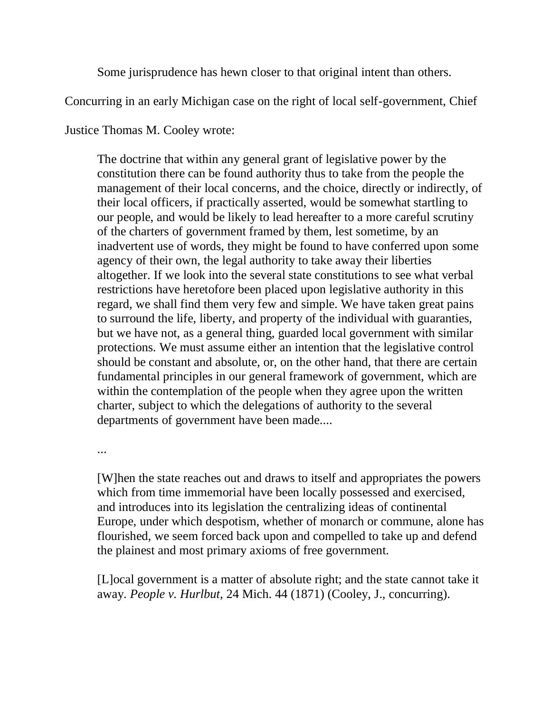Some jurisprudence has hewn closer to that original intent than others.

Concurring in an early Michigan case on the right of local self-government, Chief

Justice Thomas M. Cooley wrote:

The doctrine that within any general grant of legislative power by the constitution there can be found authority thus to take from the people the management of their local concerns, and the choice, directly or indirectly, of their local officers, if practically asserted, would be somewhat startling to our people, and would be likely to lead hereafter to a more careful scrutiny of the charters of government framed by them, lest sometime, by an inadvertent use of words, they might be found to have conferred upon some agency of their own, the legal authority to take away their liberties altogether. If we look into the several state constitutions to see what verbal restrictions have heretofore been placed upon legislative authority in this regard, we shall find them very few and simple. We have taken great pains to surround the life, liberty, and property of the individual with guaranties, but we have not, as a general thing, guarded local government with similar protections. We must assume either an intention that the legislative control should be constant and absolute, or, on the other hand, that there are certain fundamental principles in our general framework of government, which are within the contemplation of the people when they agree upon the written charter, subject to which the delegations of authority to the several departments of government have been made....

...

[W]hen the state reaches out and draws to itself and appropriates the powers which from time immemorial have been locally possessed and exercised, and introduces into its legislation the centralizing ideas of continental Europe, under which despotism, whether of monarch or commune, alone has flourished, we seem forced back upon and compelled to take up and defend the plainest and most primary axioms of free government.

[L]ocal government is a matter of absolute right; and the state cannot take it away. *People v. Hurlbut*, 24 Mich. 44 (1871) (Cooley, J., concurring).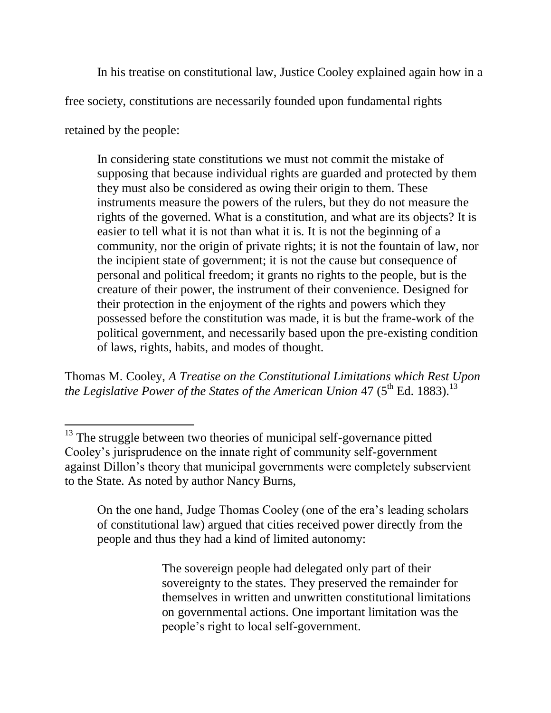In his treatise on constitutional law, Justice Cooley explained again how in a

free society, constitutions are necessarily founded upon fundamental rights

retained by the people:

 $\overline{a}$ 

In considering state constitutions we must not commit the mistake of supposing that because individual rights are guarded and protected by them they must also be considered as owing their origin to them. These instruments measure the powers of the rulers, but they do not measure the rights of the governed. What is a constitution, and what are its objects? It is easier to tell what it is not than what it is. It is not the beginning of a community, nor the origin of private rights; it is not the fountain of law, nor the incipient state of government; it is not the cause but consequence of personal and political freedom; it grants no rights to the people, but is the creature of their power, the instrument of their convenience. Designed for their protection in the enjoyment of the rights and powers which they possessed before the constitution was made, it is but the frame-work of the political government, and necessarily based upon the pre-existing condition of laws, rights, habits, and modes of thought.

Thomas M. Cooley, *A Treatise on the Constitutional Limitations which Rest Upon*  the Legislative Power of the States of the American Union 47 (5<sup>th</sup> Ed. 1883).<sup>13</sup>

On the one hand, Judge Thomas Cooley (one of the era's leading scholars of constitutional law) argued that cities received power directly from the people and thus they had a kind of limited autonomy:

> The sovereign people had delegated only part of their sovereignty to the states. They preserved the remainder for themselves in written and unwritten constitutional limitations on governmental actions. One important limitation was the people's right to local self-government.

<sup>&</sup>lt;sup>13</sup> The struggle between two theories of municipal self-governance pitted Cooley's jurisprudence on the innate right of community self-government against Dillon's theory that municipal governments were completely subservient to the State. As noted by author Nancy Burns,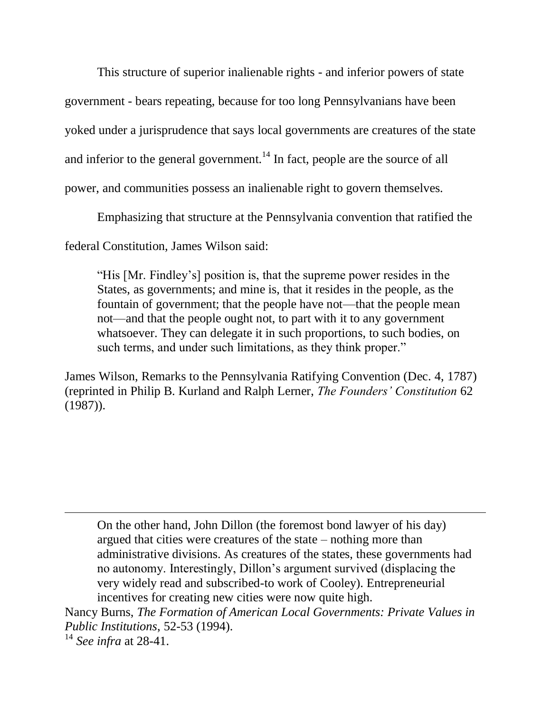This structure of superior inalienable rights - and inferior powers of state government - bears repeating, because for too long Pennsylvanians have been yoked under a jurisprudence that says local governments are creatures of the state and inferior to the general government.<sup>14</sup> In fact, people are the source of all power, and communities possess an inalienable right to govern themselves.

Emphasizing that structure at the Pennsylvania convention that ratified the

federal Constitution, James Wilson said:

"His [Mr. Findley's] position is, that the supreme power resides in the States, as governments; and mine is, that it resides in the people, as the fountain of government; that the people have not—that the people mean not—and that the people ought not, to part with it to any government whatsoever. They can delegate it in such proportions, to such bodies, on such terms, and under such limitations, as they think proper."

James Wilson, Remarks to the Pennsylvania Ratifying Convention (Dec. 4, 1787) (reprinted in Philip B. Kurland and Ralph Lerner, *The Founders' Constitution* 62 (1987)).

On the other hand, John Dillon (the foremost bond lawyer of his day) argued that cities were creatures of the state – nothing more than administrative divisions. As creatures of the states, these governments had no autonomy. Interestingly, Dillon's argument survived (displacing the very widely read and subscribed-to work of Cooley). Entrepreneurial incentives for creating new cities were now quite high.

Nancy Burns, *The Formation of American Local Governments: Private Values in Public Institutions*, 52-53 (1994).

<sup>14</sup> *See infra* at 28-41.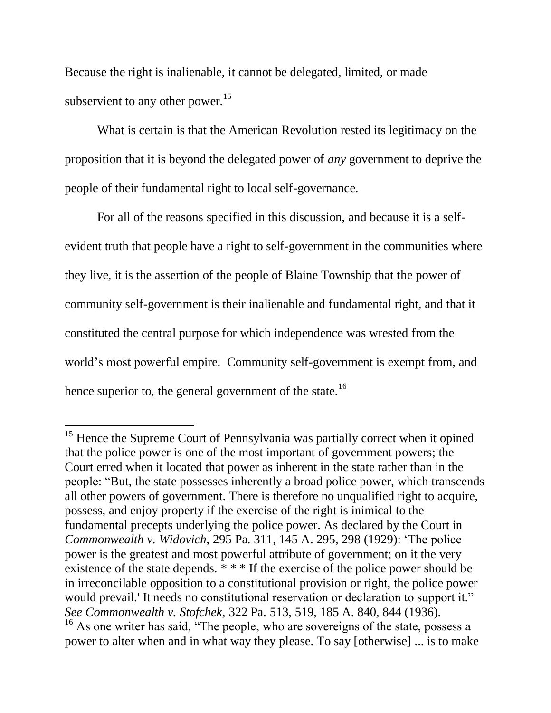Because the right is inalienable, it cannot be delegated, limited, or made subservient to any other power.<sup>15</sup>

What is certain is that the American Revolution rested its legitimacy on the proposition that it is beyond the delegated power of *any* government to deprive the people of their fundamental right to local self-governance.

For all of the reasons specified in this discussion, and because it is a selfevident truth that people have a right to self-government in the communities where they live, it is the assertion of the people of Blaine Township that the power of community self-government is their inalienable and fundamental right, and that it constituted the central purpose for which independence was wrested from the world's most powerful empire. Community self-government is exempt from, and hence superior to, the general government of the state.<sup>16</sup>

<sup>&</sup>lt;sup>15</sup> Hence the Supreme Court of Pennsylvania was partially correct when it opined that the police power is one of the most important of government powers; the Court erred when it located that power as inherent in the state rather than in the people: "But, the state possesses inherently a broad police power, which transcends all other powers of government. There is therefore no unqualified right to acquire, possess, and enjoy property if the exercise of the right is inimical to the fundamental precepts underlying the police power. As declared by the Court in *Commonwealth v. Widovich*, 295 Pa. 311, 145 A. 295, 298 (1929): ‗The police power is the greatest and most powerful attribute of government; on it the very existence of the state depends.  $* * *$  If the exercise of the police power should be in irreconcilable opposition to a constitutional provision or right, the police power would prevail.' It needs no constitutional reservation or declaration to support it." *See Commonwealth v. Stofchek*, 322 Pa. 513, 519, 185 A. 840, 844 (1936).

 $16$  As one writer has said, "The people, who are sovereigns of the state, possess a power to alter when and in what way they please. To say [otherwise] ... is to make